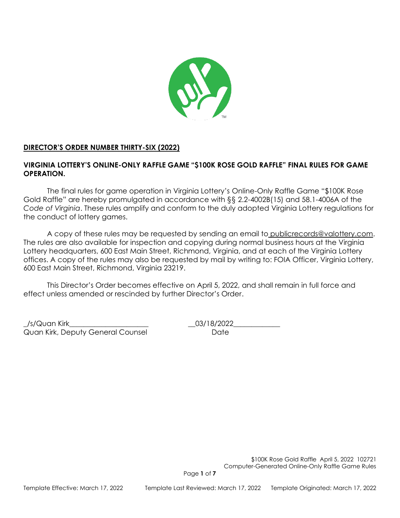

## **DIRECTOR'S ORDER NUMBER THIRTY-SIX (2022)**

## **VIRGINIA LOTTERY'S ONLINE-ONLY RAFFLE GAME "\$100K ROSE GOLD RAFFLE" FINAL RULES FOR GAME OPERATION.**

The final rules for game operation in Virginia Lottery's Online-Only Raffle Game "\$100K Rose Gold Raffle" are hereby promulgated in accordance with §§ 2.2-4002B(15) and 58.1-4006A of the *Code of Virginia*. These rules amplify and conform to the duly adopted Virginia Lottery regulations for the conduct of lottery games.

A copy of these rules may be requested by sending an email to publicrecords@valottery.com. The rules are also available for inspection and copying during normal business hours at the Virginia Lottery headquarters, 600 East Main Street, Richmond, Virginia, and at each of the Virginia Lottery offices. A copy of the rules may also be requested by mail by writing to: FOIA Officer, Virginia Lottery, 600 East Main Street, Richmond, Virginia 23219.

This Director's Order becomes effective on April 5, 2022, and shall remain in full force and effect unless amended or rescinded by further Director's Order.

\_/s/Quan Kirk\_\_\_\_\_\_\_\_\_\_\_\_\_\_\_\_\_\_\_\_\_\_ \_\_03/18/2022\_\_\_\_\_\_\_\_\_\_\_\_\_ Quan Kirk, Deputy General Counsel **Date** Date

\$100K Rose Gold Raffle April 5, 2022 102721 Computer-Generated Online-Only Raffle Game Rules

Page **1** of **7**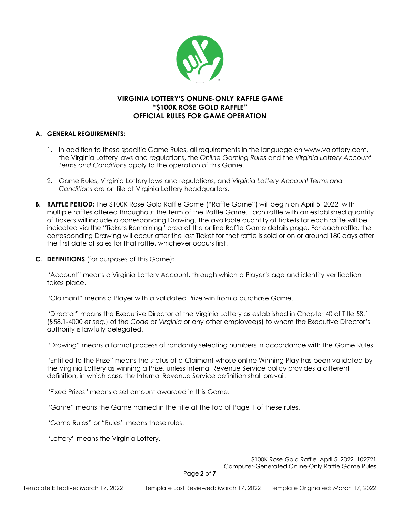

# **VIRGINIA LOTTERY'S ONLINE-ONLY RAFFLE GAME "\$100K ROSE GOLD RAFFLE" OFFICIAL RULES FOR GAME OPERATION**

### **A. GENERAL REQUIREMENTS:**

- 1. In addition to these specific Game Rules, all requirements in the language on www.valottery.com, the Virginia Lottery laws and regulations, the *Online Gaming Rules* and the *Virginia Lottery Account Terms and Conditions* apply to the operation of this Game.
- 2. Game Rules, Virginia Lottery laws and regulations, and *Virginia Lottery Account Terms and Conditions* are on file at Virginia Lottery headquarters.
- **B.** RAFFLE PERIOD: The \$100K Rose Gold Raffle Game ("Raffle Game") will begin on April 5, 2022, with multiple raffles offered throughout the term of the Raffle Game. Each raffle with an established quantity of Tickets will include a corresponding Drawing. The available quantity of Tickets for each raffle will be indicated via the "Tickets Remaining" area of the online Raffle Game details page. For each raffle, the corresponding Drawing will occur after the last Ticket for that raffle is sold or on or around 180 days after the first date of sales for that raffle, whichever occurs first.
- **C. DEFINITIONS** (for purposes of this Game)**:**

"Account" means a Virginia Lottery Account, through which a Player's age and identity verification takes place.

"Claimant" means a Player with a validated Prize win from a purchase Game.

"Director" means the Executive Director of the Virginia Lottery as established in Chapter 40 of Title 58.1 (§58.1-4000 *et seq.*) of the *Code of Virginia* or any other employee(s) to whom the Executive Director's authority is lawfully delegated.

"Drawing" means a formal process of randomly selecting numbers in accordance with the Game Rules.

"Entitled to the Prize" means the status of a Claimant whose online Winning Play has been validated by the Virginia Lottery as winning a Prize, unless Internal Revenue Service policy provides a different definition, in which case the Internal Revenue Service definition shall prevail.

"Fixed Prizes" means a set amount awarded in this Game.

"Game" means the Game named in the title at the top of Page 1 of these rules.

"Game Rules" or "Rules" means these rules.

"Lottery" means the Virginia Lottery.

\$100K Rose Gold Raffle April 5, 2022 102721 Computer-Generated Online-Only Raffle Game Rules

Page **2** of **7**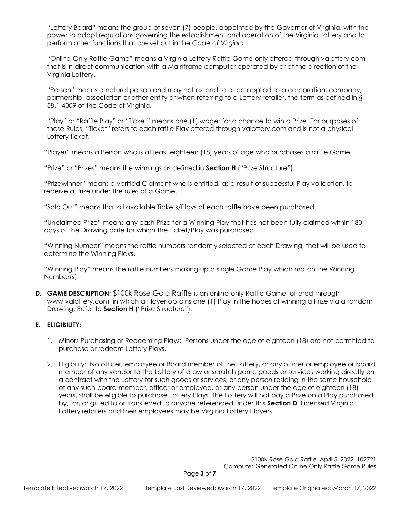"Lottery Board" means the group of seven (7) people, appointed by the Governor of Virginia, with the power to adopt regulations governing the establishment and operation of the Virginia Lottery and to perform other functions that are set out in the *Code of Virginia.*

"Online-Only Raffle Game" means a Virginia Lottery Raffle Game only offered through valottery.com that is in direct communication with a Mainframe computer operated by or at the direction of the Virginia Lottery.

"Person" means a natural person and may not extend to or be applied to a corporation, company, partnership, association or other entity or when referring to a Lottery retailer, the term as defined in § 58.1-4009 of the Code of Virginia.

"Play" or "Raffle Play" or "Ticket" means one (1) wager for a chance to win a Prize. For purposes of these Rules, "Ticket" refers to each raffle Play offered through valottery.com and is not a physical Lottery ticket.

"Player" means a Person who is at least eighteen (18) years of age who purchases a raffle Game.

"Prize" or "Prizes" means the winnings as defined in **Section H** ("Prize Structure").

"Prizewinner" means a verified Claimant who is entitled, as a result of successful Play validation, to receive a Prize under the rules of a Game.

"Sold Out" means that all available Tickets/Plays of each raffle have been purchased.

"Unclaimed Prize" means any cash Prize for a Winning Play that has not been fully claimed within 180 days of the Drawing date for which the Ticket/Play was purchased.

"Winning Number" means the raffle numbers randomly selected at each Drawing, that will be used to determine the Winning Plays.

"Winning Play" means the raffle numbers making up a single Game Play which match the Winning Number(s).

**D. GAME DESCRIPTION:** \$100k Rose Gold Raffle is an online-only Raffle Game, offered through www.valottery.com, in which a Player obtains one (1) Play in the hopes of winning a Prize via a random Drawing. Refer to **Section H** ("Prize Structure").

### **E. ELIGIBILITY:**

- 1. Minors Purchasing or Redeeming Plays: Persons under the age of eighteen (18) are not permitted to purchase or redeem Lottery Plays.
- 2. Eligibility: No officer, employee or Board member of the Lottery, or any officer or employee or board member of any vendor to the Lottery of draw or scratch game goods or services working directly on a contract with the Lottery for such goods or services, or any person residing in the same household of any such board member, officer or employee, or any person under the age of eighteen (18) years, shall be eligible to purchase Lottery Plays. The Lottery will not pay a Prize on a Play purchased by, for, or gifted to or transferred to anyone referenced under this **Section D**. Licensed Virginia Lottery retailers and their employees may be Virginia Lottery Players.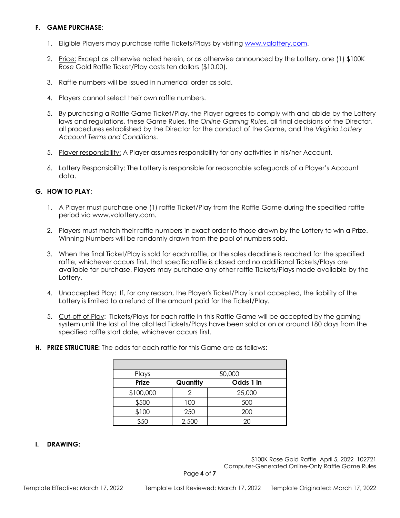### **F. GAME PURCHASE:**

- 1. Eligible Players may purchase raffle Tickets/Plays by visiting [www.valottery.com.](http://www.valottery.com/)
- 2. Price: Except as otherwise noted herein, or as otherwise announced by the Lottery, one (1) \$100K Rose Gold Raffle Ticket/Play costs ten dollars (\$10.00).
- 3. Raffle numbers will be issued in numerical order as sold.
- 4. Players cannot select their own raffle numbers.
- 5. By purchasing a Raffle Game Ticket/Play, the Player agrees to comply with and abide by the Lottery laws and regulations, these Game Rules, the *Online Gaming Rules*, all final decisions of the Director, all procedures established by the Director for the conduct of the Game, and the *Virginia Lottery Account Terms and Conditions*.
- 5. Player responsibility: A Player assumes responsibility for any activities in his/her Account.
- 6. Lottery Responsibility: The Lottery is responsible for reasonable safeguards of a Player's Account data.

### **G. HOW TO PLAY:**

- 1. A Player must purchase one (1) raffle Ticket/Play from the Raffle Game during the specified raffle period via www.valottery.com.
- 2. Players must match their raffle numbers in exact order to those drawn by the Lottery to win a Prize. Winning Numbers will be randomly drawn from the pool of numbers sold.
- 3. When the final Ticket/Play is sold for each raffle, or the sales deadline is reached for the specified raffle, whichever occurs first, that specific raffle is closed and no additional Tickets/Plays are available for purchase. Players may purchase any other raffle Tickets/Plays made available by the Lottery.
- 4. Unaccepted Play: If, for any reason, the Player's Ticket/Play is not accepted, the liability of the Lottery is limited to a refund of the amount paid for the Ticket/Play.
- 5. Cut-off of Play: Tickets/Plays for each raffle in this Raffle Game will be accepted by the gaming system until the last of the allotted Tickets/Plays have been sold or on or around 180 days from the specified raffle start date, whichever occurs first.

| Plays     | 50,000   |           |
|-----------|----------|-----------|
| Prize     | Quantity | Odds 1 in |
| \$100,000 |          | 25,000    |
| \$500     | 100      | 500       |
| \$100     | 250      | 200       |
| \$50      | 2,500    | 20        |

**H. PRIZE STRUCTURE:** The odds for each raffle for this Game are as follows:

### **I. DRAWING:**

\$100K Rose Gold Raffle April 5, 2022 102721 Computer-Generated Online-Only Raffle Game Rules

Page **4** of **7**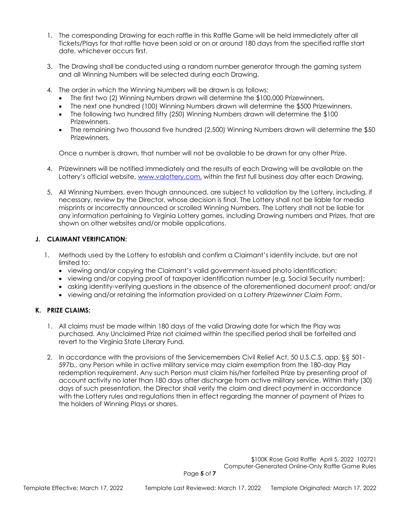- 1. The corresponding Drawing for each raffle in this Raffle Game will be held immediately after all Tickets/Plays for that raffle have been sold or on or around 180 days from the specified raffle start date, whichever occurs first.
- 3. The Drawing shall be conducted using a random number generator through the gaming system and all Winning Numbers will be selected during each Drawing.
- 4. The order in which the Winning Numbers will be drawn is as follows:
	- The first two (2) Winning Numbers drawn will determine the \$100,000 Prizewinners.
	- The next one hundred (100) Winning Numbers drawn will determine the \$500 Prizewinners.
	- The following two hundred fifty (250) Winning Numbers drawn will determine the \$100 Prizewinners.
	- The remaining two thousand five hundred (2,500) Winning Numbers drawn will determine the \$50 Prizewinners*.*

Once a number is drawn, that number will not be available to be drawn for any other Prize.

- 4. Prizewinners will be notified immediately and the results of each Drawing will be available on the Lottery's official website, [www.valottery.com,](http://www.valottery.com/) within the first full business day after each Drawing.
- 5. All Winning Numbers, even though announced, are subject to validation by the Lottery, including, if necessary, review by the Director, whose decision is final. The Lottery shall not be liable for media misprints or incorrectly announced or scrolled Winning Numbers. The Lottery shall not be liable for any information pertaining to Virginia Lottery games, including Drawing numbers and Prizes, that are shown on other websites and/or mobile applications.

### **J. CLAIMANT VERIFICATION:**

- 1. Methods used by the Lottery to establish and confirm a Claimant's identity include, but are not limited to:
	- viewing and/or copying the Claimant's valid government-issued photo identification;
	- viewing and/or copying proof of taxpayer identification number (e.g. Social Security number);
	- asking identity-verifying questions in the absence of the aforementioned document proof; and/or
	- viewing and/or retaining the information provided on a *Lottery Prizewinner Claim Form*.

### **K. PRIZE CLAIMS:**

- 1. All claims must be made within 180 days of the valid Drawing date for which the Play was purchased. Any Unclaimed Prize not claimed within the specified period shall be forfeited and revert to the Virginia State Literary Fund.
- 2. In accordance with the provisions of the Servicemembers Civil Relief Act, 50 U.S.C.S. app. §§ 501- 597b*.,* any Person while in active military service may claim exemption from the 180-day Play redemption requirement. Any such Person must claim his/her forfeited Prize by presenting proof of account activity no later than 180 days after discharge from active military service. Within thirty (30) days of such presentation, the Director shall verify the claim and direct payment in accordance with the Lottery rules and regulations then in effect regarding the manner of payment of Prizes to the holders of Winning Plays or shares.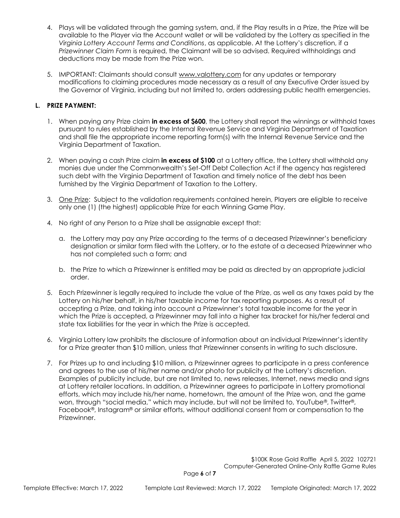- 4. Plays will be validated through the gaming system, and, if the Play results in a Prize, the Prize will be available to the Player via the Account wallet or will be validated by the Lottery as specified in the *Virginia Lottery Account Terms and Conditions*, as applicable. At the Lottery's discretion, if a *Prizewinner Claim Form* is required, the Claimant will be so advised. Required withholdings and deductions may be made from the Prize won.
- 5. IMPORTANT: Claimants should consult [www.valottery.com](https://www.valottery.com/) for any updates or temporary modifications to claiming procedures made necessary as a result of any Executive Order issued by the Governor of Virginia, including but not limited to, orders addressing public health emergencies.

### **L. PRIZE PAYMENT:**

- 1. When paying any Prize claim **in excess of \$600**, the Lottery shall report the winnings or withhold taxes pursuant to rules established by the Internal Revenue Service and Virginia Department of Taxation and shall file the appropriate income reporting form(s) with the Internal Revenue Service and the Virginia Department of Taxation.
- 2. When paying a cash Prize claim **in excess of \$100** at a Lottery office, the Lottery shall withhold any monies due under the Commonwealth's Set-Off Debt Collection Act if the agency has registered such debt with the Virginia Department of Taxation and timely notice of the debt has been furnished by the Virginia Department of Taxation to the Lottery.
- 3. One Prize: Subject to the validation requirements contained herein, Players are eligible to receive only one (1) (the highest) applicable Prize for each Winning Game Play.
- 4. No right of any Person to a Prize shall be assignable except that:
	- a. the Lottery may pay any Prize according to the terms of a deceased Prizewinner's beneficiary designation or similar form filed with the Lottery, or to the estate of a deceased Prizewinner who has not completed such a form; and
	- b. the Prize to which a Prizewinner is entitled may be paid as directed by an appropriate judicial order.
- 5. Each Prizewinner is legally required to include the value of the Prize, as well as any taxes paid by the Lottery on his/her behalf, in his/her taxable income for tax reporting purposes. As a result of accepting a Prize, and taking into account a Prizewinner's total taxable income for the year in which the Prize is accepted, a Prizewinner may fall into a higher tax bracket for his/her federal and state tax liabilities for the year in which the Prize is accepted.
- 6. Virginia Lottery law prohibits the disclosure of information about an individual Prizewinner's identity for a Prize greater than \$10 million, unless that Prizewinner consents in writing to such disclosure.
- 7. For Prizes up to and including \$10 million, a Prizewinner agrees to participate in a press conference and agrees to the use of his/her name and/or photo for publicity at the Lottery's discretion. Examples of publicity include, but are not limited to, news releases, Internet, news media and signs at Lottery retailer locations. In addition, a Prizewinner agrees to participate in Lottery promotional efforts, which may include his/her name, hometown, the amount of the Prize won, and the game won, through "social media," which may include, but will not be limited to, YouTube®, Twitter®, Facebook®, Instagram® or similar efforts, without additional consent from or compensation to the Prizewinner.